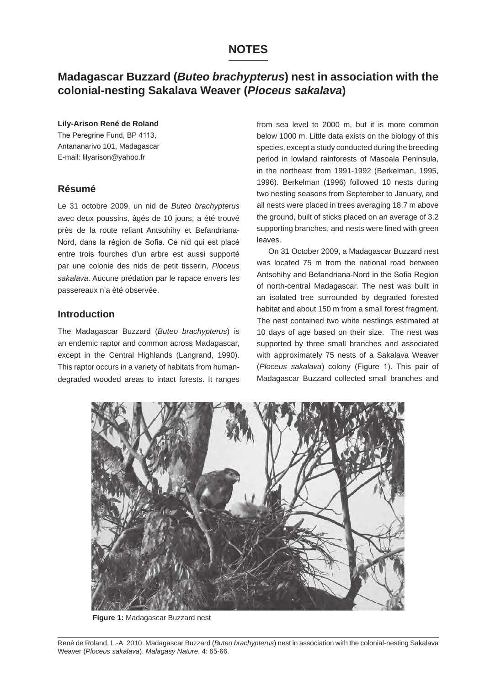# **NOTES**

# **Madagascar Buzzard (***Buteo brachypterus***) nest in association with the colonial-nesting Sakalava Weaver (***Ploceus sakalava***)**

#### **Lily-Arison René de Roland**

The Peregrine Fund, BP 4113, Antananarivo 101, Madagascar E-mail: lilyarison@yahoo.fr

## **Résumé**

Le 31 octobre 2009, un nid de *Buteo brachypterus* avec deux poussins, âgés de 10 jours, a été trouvé près de la route reliant Antsohihy et Befandriana-Nord, dans la région de Sofia. Ce nid qui est placé entre trois fourches d'un arbre est aussi supporté par une colonie des nids de petit tisserin, *Ploceus sakalava*. Aucune prédation par le rapace envers les passereaux n'a été observée.

## **Introduction**

The Madagascar Buzzard (*Buteo brachypterus*) is an endemic raptor and common across Madagascar, except in the Central Highlands (Langrand, 1990). This raptor occurs in a variety of habitats from humandegraded wooded areas to intact forests. It ranges from sea level to 2000 m, but it is more common below 1000 m. Little data exists on the biology of this species, except a study conducted during the breeding period in lowland rainforests of Masoala Peninsula, in the northeast from 1991-1992 (Berkelman, 1995, 1996). Berkelman (1996) followed 10 nests during two nesting seasons from September to January, and all nests were placed in trees averaging 18.7 m above the ground, built of sticks placed on an average of 3.2 supporting branches, and nests were lined with green leaves.

On 31 October 2009, a Madagascar Buzzard nest was located 75 m from the national road between Antsohihy and Befandriana-Nord in the Sofia Region of north-central Madagascar. The nest was built in an isolated tree surrounded by degraded forested habitat and about 150 m from a small forest fragment. The nest contained two white nestlings estimated at 10 days of age based on their size. The nest was supported by three small branches and associated with approximately 75 nests of a Sakalava Weaver (*Ploceus sakalava*) colony (Figure 1). This pair of Madagascar Buzzard collected small branches and



**Figure 1:** Madagascar Buzzard nest